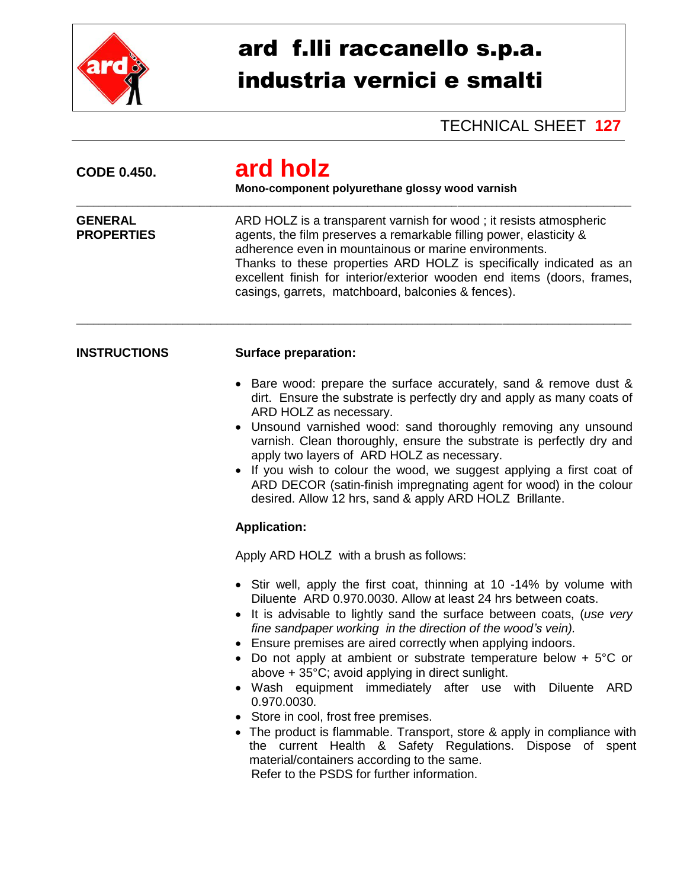

## ard f.lli raccanello s.p.a. industria vernici e smalti

## TECHNICAL SHEET **127**

| <b>CODE 0.450.</b>                  | ard holz<br>Mono-component polyurethane glossy wood varnish<br>ARD HOLZ is a transparent varnish for wood; it resists atmospheric<br>agents, the film preserves a remarkable filling power, elasticity &<br>adherence even in mountainous or marine environments.<br>Thanks to these properties ARD HOLZ is specifically indicated as an<br>excellent finish for interior/exterior wooden end items (doors, frames,<br>casings, garrets, matchboard, balconies & fences).                                                                                                                                                                                                                                                                                                                                                                  |  |  |
|-------------------------------------|--------------------------------------------------------------------------------------------------------------------------------------------------------------------------------------------------------------------------------------------------------------------------------------------------------------------------------------------------------------------------------------------------------------------------------------------------------------------------------------------------------------------------------------------------------------------------------------------------------------------------------------------------------------------------------------------------------------------------------------------------------------------------------------------------------------------------------------------|--|--|
| <b>GENERAL</b><br><b>PROPERTIES</b> |                                                                                                                                                                                                                                                                                                                                                                                                                                                                                                                                                                                                                                                                                                                                                                                                                                            |  |  |
| <b>INSTRUCTIONS</b>                 | <b>Surface preparation:</b>                                                                                                                                                                                                                                                                                                                                                                                                                                                                                                                                                                                                                                                                                                                                                                                                                |  |  |
|                                     | • Bare wood: prepare the surface accurately, sand & remove dust &<br>dirt. Ensure the substrate is perfectly dry and apply as many coats of<br>ARD HOLZ as necessary.<br>Unsound varnished wood: sand thoroughly removing any unsound<br>varnish. Clean thoroughly, ensure the substrate is perfectly dry and<br>apply two layers of ARD HOLZ as necessary.<br>If you wish to colour the wood, we suggest applying a first coat of<br>ARD DECOR (satin-finish impregnating agent for wood) in the colour<br>desired. Allow 12 hrs, sand & apply ARD HOLZ Brillante.                                                                                                                                                                                                                                                                        |  |  |
|                                     | <b>Application:</b>                                                                                                                                                                                                                                                                                                                                                                                                                                                                                                                                                                                                                                                                                                                                                                                                                        |  |  |
|                                     | Apply ARD HOLZ with a brush as follows:                                                                                                                                                                                                                                                                                                                                                                                                                                                                                                                                                                                                                                                                                                                                                                                                    |  |  |
|                                     | • Stir well, apply the first coat, thinning at 10 -14% by volume with<br>Diluente ARD 0.970.0030. Allow at least 24 hrs between coats.<br>It is advisable to lightly sand the surface between coats, (use very<br>fine sandpaper working in the direction of the wood's vein).<br>• Ensure premises are aired correctly when applying indoors.<br>Do not apply at ambient or substrate temperature below + $5^{\circ}$ C or<br>above + 35°C; avoid applying in direct sunlight.<br>• Wash equipment immediately after use with Diluente<br>ARD<br>0.970.0030.<br>• Store in cool, frost free premises.<br>• The product is flammable. Transport, store & apply in compliance with<br>the current Health & Safety Regulations. Dispose of spent<br>material/containers according to the same.<br>Refer to the PSDS for further information. |  |  |